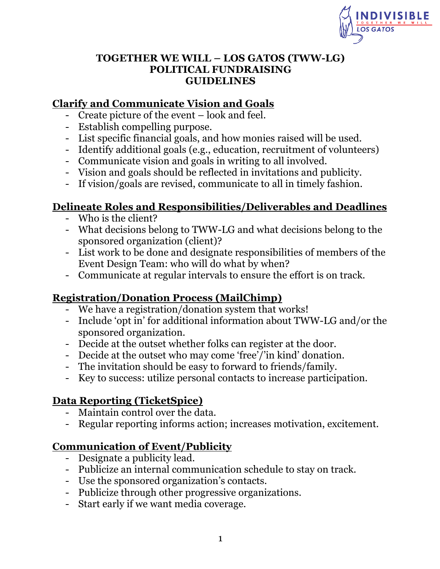

#### **TOGETHER WE WILL – LOS GATOS (TWW-LG) POLITICAL FUNDRAISING GUIDELINES**

### **Clarify and Communicate Vision and Goals**

- Create picture of the event look and feel.
- Establish compelling purpose.
- List specific financial goals, and how monies raised will be used.
- Identify additional goals (e.g., education, recruitment of volunteers)
- Communicate vision and goals in writing to all involved.
- Vision and goals should be reflected in invitations and publicity.
- If vision/goals are revised, communicate to all in timely fashion.

## **Delineate Roles and Responsibilities/Deliverables and Deadlines**

- Who is the client?
- What decisions belong to TWW-LG and what decisions belong to the sponsored organization (client)?
- List work to be done and designate responsibilities of members of the Event Design Team: who will do what by when?
- Communicate at regular intervals to ensure the effort is on track.

### **Registration/Donation Process (MailChimp)**

- We have a registration/donation system that works!
- Include 'opt in' for additional information about TWW-LG and/or the sponsored organization.
- Decide at the outset whether folks can register at the door.
- Decide at the outset who may come 'free'/'in kind' donation.
- The invitation should be easy to forward to friends/family.
- Key to success: utilize personal contacts to increase participation.

## **Data Reporting (TicketSpice)**

- Maintain control over the data.
- Regular reporting informs action; increases motivation, excitement.

### **Communication of Event/Publicity**

- Designate a publicity lead.
- Publicize an internal communication schedule to stay on track.
- Use the sponsored organization's contacts.
- Publicize through other progressive organizations.
- Start early if we want media coverage.